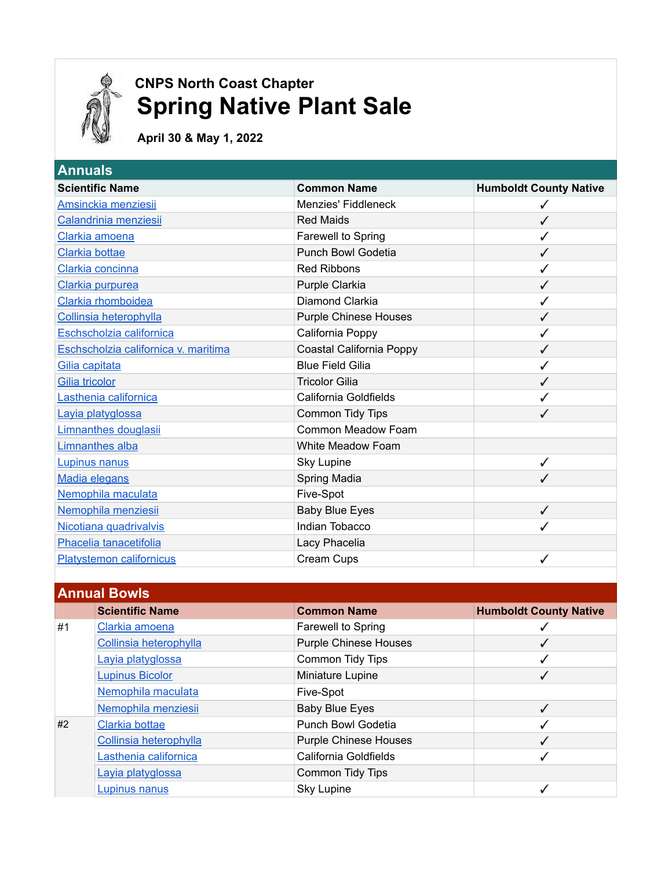

## **EXECUTE COAST CHAPTER** CNPS North Coast Chapter *A* Spring Native Plant Sale

 **April 30 & May 1, 2022**

| <b>Scientific Name</b>               | <b>Common Name</b>           | <b>Humboldt County Native</b> |
|--------------------------------------|------------------------------|-------------------------------|
| Amsinckia menziesii                  | Menzies' Fiddleneck          |                               |
| Calandrinia menziesii                | <b>Red Maids</b>             | $\checkmark$                  |
| Clarkia amoena                       | Farewell to Spring           |                               |
| Clarkia bottae                       | <b>Punch Bowl Godetia</b>    | $\checkmark$                  |
| Clarkia concinna                     | <b>Red Ribbons</b>           |                               |
| Clarkia purpurea                     | Purple Clarkia               | ✓                             |
| Clarkia rhomboidea                   | Diamond Clarkia              |                               |
| Collinsia heterophylla               | <b>Purple Chinese Houses</b> | ✓                             |
| Eschscholzia californica             | California Poppy             |                               |
| Eschscholzia californica v. maritima | Coastal California Poppy     |                               |
| Gilia capitata                       | <b>Blue Field Gilia</b>      |                               |
| <b>Gilia tricolor</b>                | <b>Tricolor Gilia</b>        |                               |
| Lasthenia californica                | California Goldfields        |                               |
| Layia platyglossa                    | Common Tidy Tips             | $\overline{\mathcal{L}}$      |
| <b>Limnanthes douglasii</b>          | Common Meadow Foam           |                               |
| <b>Limnanthes alba</b>               | White Meadow Foam            |                               |
| Lupinus nanus                        | <b>Sky Lupine</b>            | ✓                             |
| <b>Madia elegans</b>                 | Spring Madia                 | ✓                             |
| Nemophila maculata                   | Five-Spot                    |                               |
| Nemophila menziesii                  | <b>Baby Blue Eyes</b>        | $\checkmark$                  |
| Nicotiana quadrivalvis               | Indian Tobacco               |                               |
| Phacelia tanacetifolia               | Lacy Phacelia                |                               |
| <b>Platystemon californicus</b>      | Cream Cups                   |                               |

| <b>Annual Bowls</b> |                        |                              |                               |
|---------------------|------------------------|------------------------------|-------------------------------|
|                     | <b>Scientific Name</b> | <b>Common Name</b>           | <b>Humboldt County Native</b> |
| #1                  | Clarkia amoena         | Farewell to Spring           |                               |
|                     | Collinsia heterophylla | <b>Purple Chinese Houses</b> |                               |
|                     | Layia platyglossa      | Common Tidy Tips             |                               |
|                     | <b>Lupinus Bicolor</b> | Miniature Lupine             |                               |
|                     | Nemophila maculata     | Five-Spot                    |                               |
|                     | Nemophila menziesii    | <b>Baby Blue Eyes</b>        |                               |
| #2                  | Clarkia bottae         | <b>Punch Bowl Godetia</b>    |                               |
|                     | Collinsia heterophylla | <b>Purple Chinese Houses</b> |                               |
|                     | Lasthenia californica  | California Goldfields        |                               |
|                     | Lavia platyglossa      | Common Tidy Tips             |                               |
|                     | <b>Lupinus nanus</b>   | <b>Sky Lupine</b>            |                               |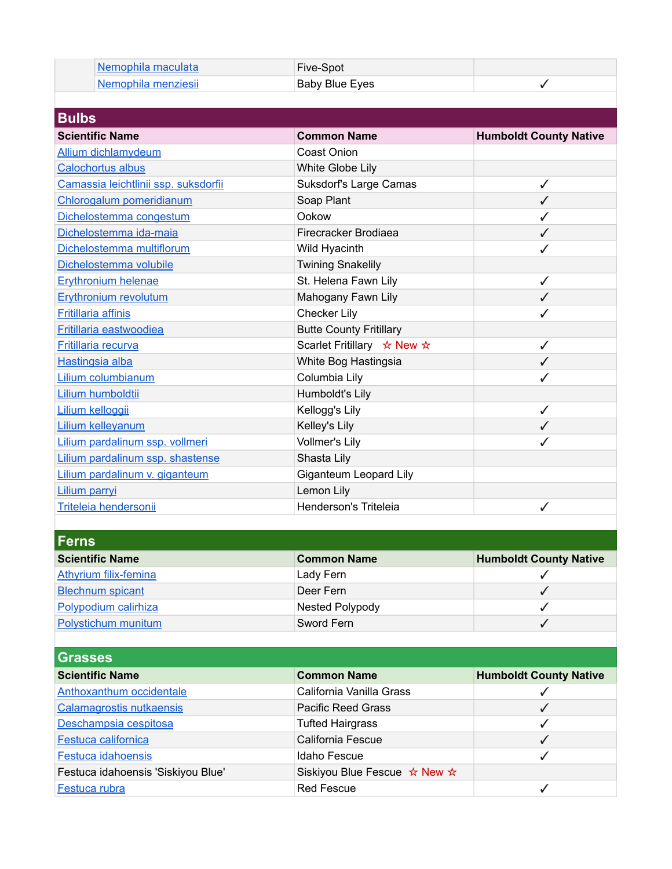| Nemophila maculata  | Five-Spot      |  |
|---------------------|----------------|--|
| Nemophila menziesii | Baby Blue Eyes |  |

| <b>Scientific Name</b>               | <b>Common Name</b>                     | <b>Humboldt County Native</b> |
|--------------------------------------|----------------------------------------|-------------------------------|
| <b>Allium dichlamydeum</b>           | <b>Coast Onion</b>                     |                               |
| <b>Calochortus albus</b>             | White Globe Lily                       |                               |
| Camassia leichtlinii ssp. suksdorfii | Suksdorf's Large Camas                 |                               |
| Chlorogalum pomeridianum             | Soap Plant                             | ✔                             |
| Dichelostemma congestum              | Ookow                                  |                               |
| Dichelostemma ida-maia               | Firecracker Brodiaea                   | ✓                             |
| Dichelostemma multiflorum            | Wild Hyacinth                          |                               |
| Dichelostemma volubile               | <b>Twining Snakelily</b>               |                               |
| <b>Erythronium helenae</b>           | St. Helena Fawn Lily                   | ✓                             |
| <b>Erythronium revolutum</b>         | Mahogany Fawn Lily                     | ✓                             |
| <b>Fritillaria affinis</b>           | <b>Checker Lily</b>                    |                               |
| <b>Fritillaria eastwoodiea</b>       | <b>Butte County Fritillary</b>         |                               |
| Fritillaria recurva                  | Scarlet Fritillary $\star$ New $\star$ | ✓                             |
| Hastingsia alba                      | White Bog Hastingsia                   | ✓                             |
| Lilium columbianum                   | Columbia Lily                          |                               |
| Lilium humboldtii                    | Humboldt's Lily                        |                               |
| Lilium kelloggii                     | Kellogg's Lily                         | ✓                             |
| <b>Lilium kelleyanum</b>             | Kelley's Lily                          |                               |
| Lilium pardalinum ssp. vollmeri      | Vollmer's Lily                         |                               |
| Lilium pardalinum ssp. shastense     | Shasta Lily                            |                               |
| Lilium pardalinum v. giganteum       | <b>Giganteum Leopard Lily</b>          |                               |
| Lilium parryi                        | Lemon Lily                             |                               |
| Triteleia hendersonii                | Henderson's Triteleia                  | ✓                             |

| <b>Scientific Name</b>       | <b>Common Name</b> | <b>Humboldt County Native</b> |
|------------------------------|--------------------|-------------------------------|
| <b>Athyrium filix-femina</b> | Lady Fern          |                               |
| <b>Blechnum spicant</b>      | Deer Fern          |                               |
| Polypodium calirhiza         | Nested Polypody    |                               |
| Polystichum munitum          | Sword Fern         |                               |

| Grasses                            |                              |                               |  |
|------------------------------------|------------------------------|-------------------------------|--|
| <b>Scientific Name</b>             | <b>Common Name</b>           | <b>Humboldt County Native</b> |  |
| Anthoxanthum occidentale           | California Vanilla Grass     |                               |  |
| Calamagrostis nutkaensis           | <b>Pacific Reed Grass</b>    |                               |  |
| Deschampsia cespitosa              | <b>Tufted Hairgrass</b>      |                               |  |
| Festuca californica                | California Fescue            |                               |  |
| <b>Festuca idahoensis</b>          | Idaho Fescue                 |                               |  |
| Festuca idahoensis 'Siskiyou Blue' | Siskiyou Blue Fescue ☆ New ☆ |                               |  |
| Festuca rubra                      | <b>Red Fescue</b>            |                               |  |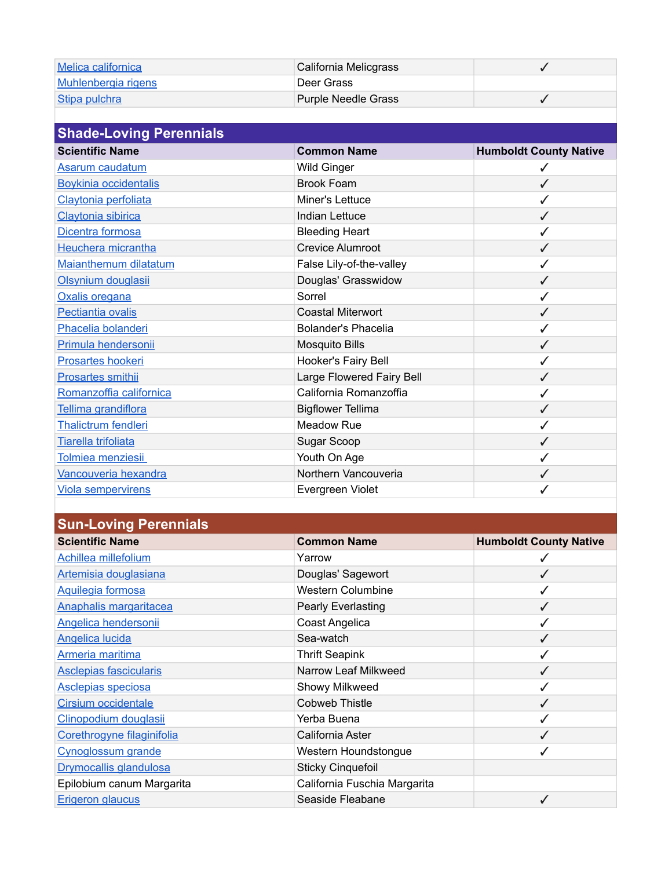| Melica californica             | California Melicgrass      | ✔                             |  |
|--------------------------------|----------------------------|-------------------------------|--|
| Muhlenbergia rigens            | Deer Grass                 |                               |  |
| Stipa pulchra                  | <b>Purple Needle Grass</b> |                               |  |
|                                |                            |                               |  |
| <b>Shade-Loving Perennials</b> |                            |                               |  |
| <b>Scientific Name</b>         | <b>Common Name</b>         | <b>Humboldt County Native</b> |  |
| Asarum caudatum                | <b>Wild Ginger</b>         |                               |  |
|                                |                            |                               |  |
| <b>Boykinia occidentalis</b>   | Brook Foam                 | √                             |  |
| Claytonia perfoliata           | Miner's Lettuce            | ✓                             |  |
| Claytonia sibirica             | Indian Lettuce             | √                             |  |
| Dicentra formosa               | <b>Bleeding Heart</b>      |                               |  |

| Dicentra formosa           | <b>Bleeding Heart</b>     |              |
|----------------------------|---------------------------|--------------|
| Heuchera micrantha         | <b>Crevice Alumroot</b>   |              |
| Maianthemum dilatatum      | False Lily-of-the-valley  |              |
| Olsynium douglasii         | Douglas' Grasswidow       | $\checkmark$ |
| Oxalis oregana             | Sorrel                    |              |
| Pectiantia ovalis          | Coastal Miterwort         |              |
| Phacelia bolanderi         | Bolander's Phacelia       |              |
| Primula hendersonii        | <b>Mosquito Bills</b>     | ✓            |
| <b>Prosartes hookeri</b>   | Hooker's Fairy Bell       |              |
| Prosartes smithii          | Large Flowered Fairy Bell |              |
| Romanzoffia californica    | California Romanzoffia    |              |
| Tellima grandiflora        | <b>Bigflower Tellima</b>  | $\checkmark$ |
| <b>Thalictrum fendleri</b> | Meadow Rue                |              |
| Tiarella trifoliata        | Sugar Scoop               |              |
| Tolmiea menziesii          | Youth On Age              |              |
| Vancouveria hexandra       | Northern Vancouveria      |              |
| <b>Viola sempervirens</b>  | Evergreen Violet          |              |
|                            |                           |              |

| <b>Sun-Loving Perennials</b>  |                              |                               |
|-------------------------------|------------------------------|-------------------------------|
| <b>Scientific Name</b>        | <b>Common Name</b>           | <b>Humboldt County Native</b> |
| Achillea millefolium          | Yarrow                       |                               |
| Artemisia douglasiana         | Douglas' Sagewort            |                               |
| Aquilegia formosa             | <b>Western Columbine</b>     |                               |
| <b>Anaphalis margaritacea</b> | Pearly Everlasting           | $\checkmark$                  |
| <b>Angelica hendersonii</b>   | Coast Angelica               |                               |
| <b>Angelica lucida</b>        | Sea-watch                    |                               |
| <b>Armeria maritima</b>       | <b>Thrift Seapink</b>        |                               |
| <b>Asclepias fascicularis</b> | Narrow Leaf Milkweed         |                               |
| <b>Asclepias speciosa</b>     | Showy Milkweed               |                               |
| <b>Cirsium occidentale</b>    | Cobweb Thistle               |                               |
| Clinopodium douglasii         | Yerba Buena                  |                               |
| Corethrogyne filaginifolia    | California Aster             |                               |
| Cynoglossum grande            | Western Houndstongue         |                               |
| <b>Drymocallis glandulosa</b> | <b>Sticky Cinquefoil</b>     |                               |
| Epilobium canum Margarita     | California Fuschia Margarita |                               |
| <b>Erigeron glaucus</b>       | Seaside Fleabane             |                               |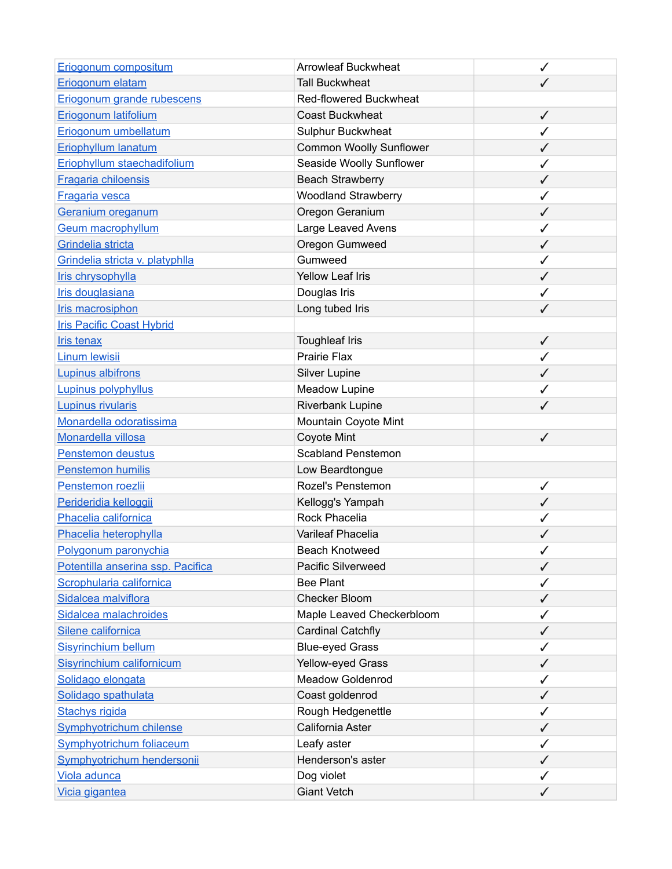| Eriogonum compositum              | <b>Arrowleaf Buckwheat</b>     | ✓            |
|-----------------------------------|--------------------------------|--------------|
| Eriogonum elatam                  | <b>Tall Buckwheat</b>          |              |
| Eriogonum grande rubescens        | Red-flowered Buckwheat         |              |
| Eriogonum latifolium              | <b>Coast Buckwheat</b>         | $\checkmark$ |
| Eriogonum umbellatum              | Sulphur Buckwheat              |              |
| Eriophyllum lanatum               | <b>Common Woolly Sunflower</b> | ✓            |
| Eriophyllum staechadifolium       | Seaside Woolly Sunflower       |              |
| <b>Fragaria chiloensis</b>        | <b>Beach Strawberry</b>        | ✓            |
| Fragaria vesca                    | <b>Woodland Strawberry</b>     | ✓            |
| Geranium oreganum                 | Oregon Geranium                | ✓            |
| <b>Geum macrophyllum</b>          | Large Leaved Avens             | ✓            |
| Grindelia stricta                 | Oregon Gumweed                 | ✓            |
| Grindelia stricta v. platyphlla   | Gumweed                        | $\checkmark$ |
| Iris chrysophylla                 | <b>Yellow Leaf Iris</b>        |              |
| Iris douglasiana                  | Douglas Iris                   |              |
| Iris macrosiphon                  | Long tubed Iris                |              |
| <b>Iris Pacific Coast Hybrid</b>  |                                |              |
| <b>Iris tenax</b>                 | <b>Toughleaf Iris</b>          | $\checkmark$ |
| <b>Linum lewisii</b>              | <b>Prairie Flax</b>            | ✓            |
| <b>Lupinus albifrons</b>          | <b>Silver Lupine</b>           | $\checkmark$ |
| Lupinus polyphyllus               | Meadow Lupine                  | ✓            |
| <b>Lupinus rivularis</b>          | Riverbank Lupine               | $\checkmark$ |
| Monardella odoratissima           | Mountain Coyote Mint           |              |
| Monardella villosa                | Coyote Mint                    | ✓            |
| Penstemon deustus                 | <b>Scabland Penstemon</b>      |              |
| Penstemon humilis                 | Low Beardtongue                |              |
| Penstemon roezlii                 | Rozel's Penstemon              | ✓            |
| Perideridia kelloggii             | Kellogg's Yampah               | ✓            |
| Phacelia californica              | Rock Phacelia                  | ✓            |
| Phacelia heterophylla             | Varileaf Phacelia              |              |
| Polygonum paronychia              | <b>Beach Knotweed</b>          |              |
| Potentilla anserina ssp. Pacifica | Pacific Silverweed             | ✓            |
| Scrophularia californica          | <b>Bee Plant</b>               | ✓            |
| Sidalcea malviflora               | Checker Bloom                  | ✓            |
| Sidalcea malachroides             | Maple Leaved Checkerbloom      |              |
| Silene californica                | <b>Cardinal Catchfly</b>       | ✓            |
| <b>Sisyrinchium bellum</b>        | <b>Blue-eyed Grass</b>         | ✓            |
| Sisyrinchium californicum         | Yellow-eyed Grass              | ✓            |
| Solidago elongata                 | <b>Meadow Goldenrod</b>        | ✓            |
| Solidago spathulata               | Coast goldenrod                | ✓            |
| <b>Stachys rigida</b>             | Rough Hedgenettle              |              |
| Symphyotrichum chilense           | California Aster               | $\checkmark$ |
| <b>Symphyotrichum foliaceum</b>   | Leafy aster                    |              |
| Symphyotrichum hendersonii        | Henderson's aster              | ✓            |
| Viola adunca                      | Dog violet                     |              |
| Vicia gigantea                    | <b>Giant Vetch</b>             | ✓            |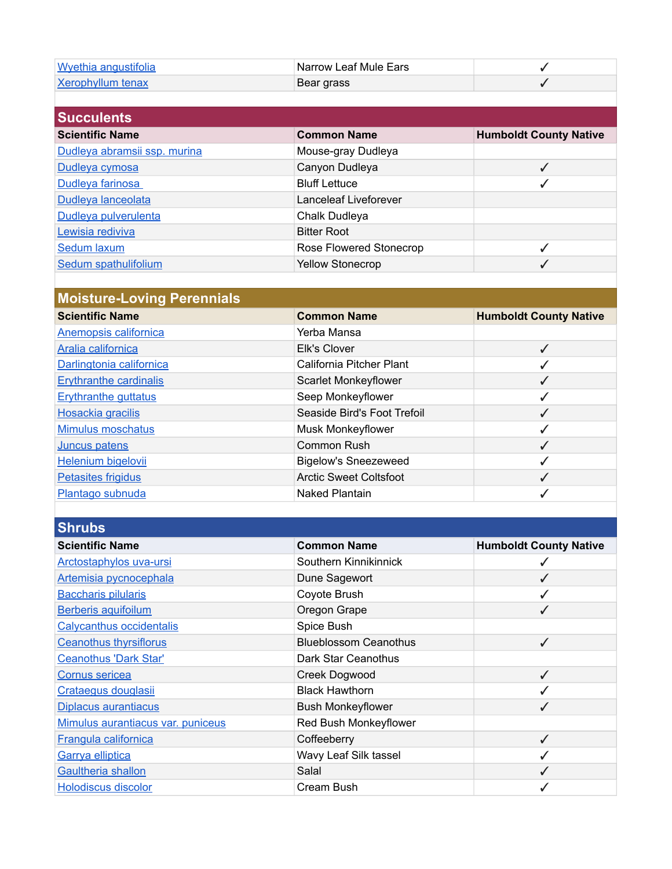| Wyethia angustifolia              | Narrow Leaf Mule Ears         | ✓                             |
|-----------------------------------|-------------------------------|-------------------------------|
| <b>Xerophyllum tenax</b>          | Bear grass                    | ✓                             |
|                                   |                               |                               |
| <b>Succulents</b>                 |                               |                               |
| <b>Scientific Name</b>            | <b>Common Name</b>            | <b>Humboldt County Native</b> |
| Dudleya abramsii ssp. murina      | Mouse-gray Dudleya            |                               |
| Dudleya cymosa                    | Canyon Dudleya                | $\checkmark$                  |
| Dudleya farinosa                  | <b>Bluff Lettuce</b>          | ✓                             |
| Dudleya lanceolata                | Lanceleaf Liveforever         |                               |
| Dudleya pulverulenta              | Chalk Dudleya                 |                               |
| Lewisia rediviva                  | <b>Bitter Root</b>            |                               |
| Sedum laxum                       | Rose Flowered Stonecrop       | ✓                             |
| Sedum spathulifolium              | <b>Yellow Stonecrop</b>       | ✓                             |
|                                   |                               |                               |
| <b>Moisture-Loving Perennials</b> |                               |                               |
| <b>Scientific Name</b>            | <b>Common Name</b>            | <b>Humboldt County Native</b> |
| <b>Anemopsis californica</b>      | Yerba Mansa                   |                               |
| Aralia californica                | Elk's Clover                  | $\checkmark$                  |
| Darlingtonia californica          | California Pitcher Plant      | ✓                             |
| <b>Erythranthe cardinalis</b>     | Scarlet Monkeyflower          | $\checkmark$                  |
| <b>Erythranthe guttatus</b>       | Seep Monkeyflower             | ✓                             |
| <b>Hosackia gracilis</b>          | Seaside Bird's Foot Trefoil   | $\checkmark$                  |
| Mimulus moschatus                 | Musk Monkeyflower             | ✓                             |
| Juncus patens                     | <b>Common Rush</b>            | $\checkmark$                  |
| Helenium bigelovii                | <b>Bigelow's Sneezeweed</b>   | ✓                             |
| <b>Petasites frigidus</b>         | <b>Arctic Sweet Coltsfoot</b> | ✓                             |
| Plantago subnuda                  | <b>Naked Plantain</b>         | ✓                             |
|                                   |                               |                               |
| <b>Shrubs</b>                     |                               |                               |
| <b>Scientific Name</b>            | <b>Common Name</b>            | <b>Humboldt County Native</b> |
| Arctostaphylos uva-ursi           | Southern Kinnikinnick         | ✓                             |
| Artemisia pycnocephala            | Dune Sagewort                 | $\checkmark$                  |
| <b>Baccharis pilularis</b>        | Coyote Brush                  | ✓                             |
| <b>Berberis aquifoilum</b>        | Oregon Grape                  | ✓                             |
| Calycanthus occidentalis          | Spice Bush                    |                               |
| <b>Ceanothus thyrsiflorus</b>     | <b>Blueblossom Ceanothus</b>  | $\checkmark$                  |
| <b>Ceanothus 'Dark Star'</b>      | Dark Star Ceanothus           |                               |
| Cornus sericea                    | Creek Dogwood                 | $\checkmark$                  |
| Crataegus douglasii               | <b>Black Hawthorn</b>         | $\checkmark$                  |
| Diplacus aurantiacus              | <b>Bush Monkeyflower</b>      | $\checkmark$                  |
| Mimulus aurantiacus var. puniceus | Red Bush Monkeyflower         |                               |
| Frangula californica              | Coffeeberry                   | $\checkmark$                  |
| Garrya elliptica                  | Wavy Leaf Silk tassel         | ✓                             |
| <b>Gaultheria shallon</b>         | Salal                         |                               |
| <b>Holodiscus discolor</b>        | Cream Bush                    |                               |